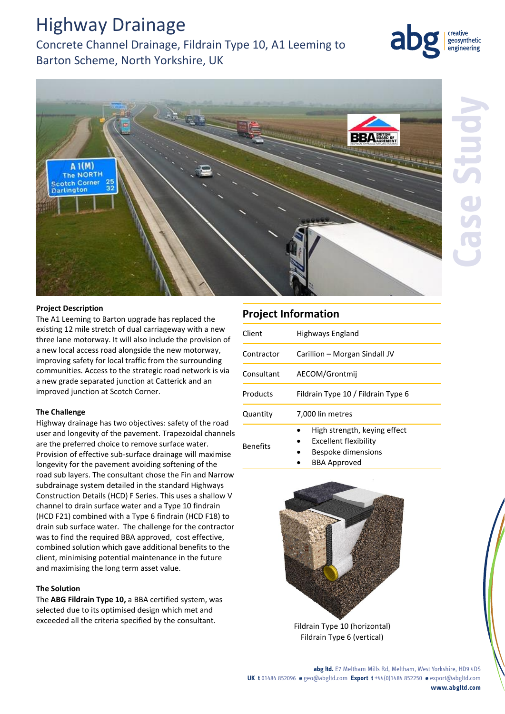# Highway Drainage

Concrete Channel Drainage, Fildrain Type 10, A1 Leeming to Barton Scheme, North Yorkshire, UK



geosynthetic engineering

#### **Project Description**

The A1 Leeming to Barton upgrade has replaced the existing 12 mile stretch of dual carriageway with a new three lane motorway. It will also include the provision of a new local access road alongside the new motorway, improving safety for local traffic from the surrounding communities. Access to the strategic road network is via a new grade separated junction at Catterick and an improved junction at Scotch Corner.

## **The Challenge**

Highway drainage has two objectives: safety of the road user and longevity of the pavement. Trapezoidal channels are the preferred choice to remove surface water. Provision of effective sub-surface drainage will maximise longevity for the pavement avoiding softening of the road sub layers. The consultant chose the Fin and Narrow subdrainage system detailed in the standard Highways Construction Details (HCD) F Series. This uses a shallow V channel to drain surface water and a Type 10 findrain (HCD F21) combined with a Type 6 findrain (HCD F18) to drain sub surface water. The challenge for the contractor was to find the required BBA approved, cost effective, combined solution which gave additional benefits to the client, minimising potential maintenance in the future and maximising the long term asset value.

## **The Solution**

The **ABG Fildrain Type 10,** a BBA certified system, was selected due to its optimised design which met and exceeded all the criteria specified by the consultant.

## **Project Information**

| Client          | Highways England                                                            |
|-----------------|-----------------------------------------------------------------------------|
| Contractor      | Carillion – Morgan Sindall JV                                               |
| Consultant      | AECOM/Grontmij                                                              |
| Products        | Fildrain Type 10 / Fildrain Type 6                                          |
| Quantity        | 7.000 lin metres                                                            |
| <b>Benefits</b> | High strength, keying effect<br>Excellent flexibility<br>Bespoke dimensions |

BBA Approved



Fildrain Type 10 (horizontal) Fildrain Type 6 (vertical)